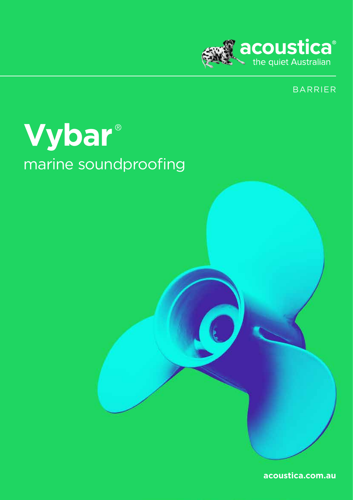

## **BARRIER**

# Vybar® marine soundproofing

acoustica.com.au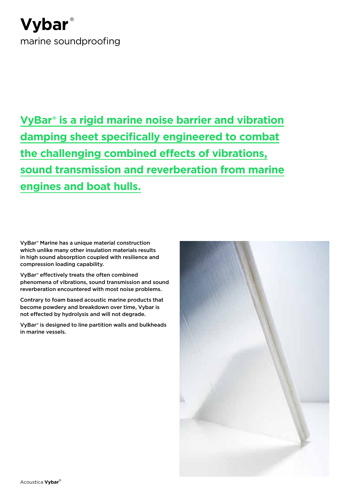## **Vybar** ® marine soundproofing

**VyBar® is a rigid marine noise barrier and vibration damping sheet specifically engineered to combat the challenging combined effects of vibrations, sound transmission and reverberation from marine engines and boat hulls.**

VyBar® Marine has a unique material construction which unlike many other insulation materials results in high sound absorption coupled with resilience and compression loading capability.

VyBar® effectively treats the often combined phenomena of vibrations, sound transmission and sound reverberation encountered with most noise problems.

Contrary to foam based acoustic marine products that become powdery and breakdown over time, Vybar is not effected by hydrolysis and will not degrade.

VyBar® is designed to line partition walls and bulkheads in marine vessels.

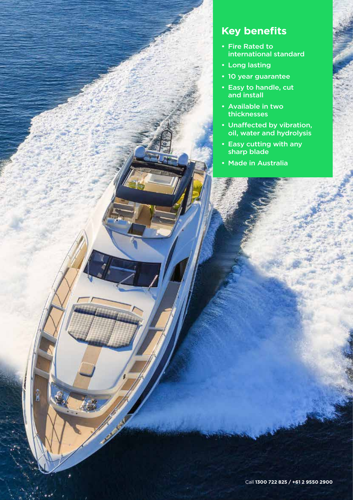## **Key benefits**

- Fire Rated to international standard
- Long lasting
- 10 year guarantee
- Easy to handle, cut and install
- Available in two thicknesses
- Unaffected by vibration, oil, water and hydrolysis
- Easy cutting with any sharp blade
- Made in Australia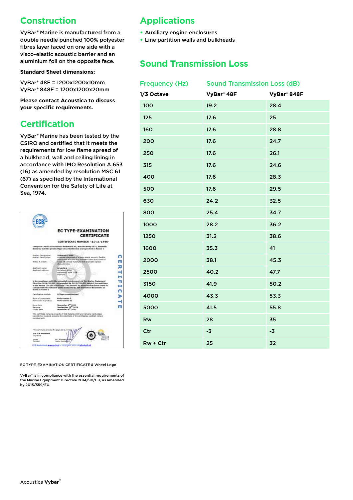## **Construction**

VyBar® Marine is manufactured from a double needle punched 100% polyester fibres layer faced on one side with a visco-elastic acoustic barrier and an aluminium foil on the opposite face.

**Standard Sheet dimensions:** 

VyBar® 48F = 1200x1200x10mm VyBar® 848F = 1200x1200x20mm

**Please contact Acoustica to discuss your specific requirements.**

## **Certification**

VyBar® Marine has been tested by the CSIRO and certified that it meets the requirements for low flame spread of a bulkhead, wall and ceiling lining in accordance with IMO Resolution A.653 (16) as amended by resolution MSC 61 (67) as specified by the International Convention for the Safety of Life at Sea, 1974.

|                                                        | <b>EC TYPE-EXAMINATION</b><br><b>CERTIFICATE</b>                                                                                                                                                                                                                                                                |  |
|--------------------------------------------------------|-----------------------------------------------------------------------------------------------------------------------------------------------------------------------------------------------------------------------------------------------------------------------------------------------------------------|--|
|                                                        |                                                                                                                                                                                                                                                                                                                 |  |
|                                                        | CERTIFICATE NUMBER -11-11-1446-                                                                                                                                                                                                                                                                                 |  |
|                                                        | Exemptuon Cartillaution Bureau Noderland BV, NotKed Body 0614, berreatin<br>doctores that the product type described below and specified in Amery 7.                                                                                                                                                            |  |
| <b>Product Designation:</b><br>Prischart Essorripcion: | VyHartské / Jiříší<br>LUMBER CONSIDERED FOR HIS 24 YEAR OLD FAMILY AND RESIDENT<br>account to a reside interfect at this of the statement<br>A SIX 18 meteor manorally with him State-spread.<br><b>Wallace International</b>                                                                                   |  |
| Annex A.1 Barcz                                        |                                                                                                                                                                                                                                                                                                                 |  |
| Autobiogri Issinato<br>ANNOUNCE ARRESTED               | <b>Aristotle a</b><br>EA Nehacl, 481vd<br>Antarctain, W1917038<br><b>Autoratia</b>                                                                                                                                                                                                                              |  |
| <b>Bulled in Annex 1</b>                               | is in compliance with the estential requirements of the Marine Copieved<br>Directive 2014/95/EU, as accended by 2015/559/EU, subject to conditions<br>in the Annex 7 to this cartificate, 1he product as auxiliard has been found to<br>comply with the opposed parts of atautheris and normation due meets are |  |
|                                                        | R (Fype examination)                                                                                                                                                                                                                                                                                            |  |
| Cartalyzation module                                   |                                                                                                                                                                                                                                                                                                                 |  |
| Rock of appearance<br>Particulars of product           | <b>Kellor Ancien 1.</b><br><b>Robert Annex 11</b>                                                                                                                                                                                                                                                               |  |
| <b>Renault Bulge</b><br>Reviewed<br>Expire date        | Nowauklast 8 <sup>th</sup> 2011<br>Seatender 18th 2016<br>Scoresber 6 <sup>th</sup> 2021                                                                                                                                                                                                                        |  |
| complete with.                                         | This contribute remains property of SCS haderland BV and nemains varid unless.<br>tanceded or revolunt, sessions the conditions of the contribution contract remain                                                                                                                                             |  |
| This certificate consults of it appe and 2 or          |                                                                                                                                                                                                                                                                                                                 |  |
| For SCE Insulantianal<br><b>Donature</b>               |                                                                                                                                                                                                                                                                                                                 |  |

#### EC TYPE-EXAMINATION CERTIFICATE & Wheel Logo

VyBar® is in compliance with the essential requirements of the Marine Equipment Directive 2014/90/EU, as amended by 2015/559/EU.

## **Applications**

- **•** Auxiliary engine enclosures
- **•** Line partition walls and bulkheads

### **Sound Transmission Loss**

|            | Frequency (Hz) Sound Transmission Loss (dB) |             |
|------------|---------------------------------------------|-------------|
| 1/3 Octave | VyBar <sup>®</sup> 48F                      | VyBar® 848F |
| 100        | 19.2                                        | 28.4        |
| 125        | 17.6                                        | 25          |
| 160        | 17.6                                        | 28.8        |
| 200        | 17.6                                        | 24.7        |
| 250        | 17.6                                        | 26.1        |
| 315        | 17.6                                        | 24.6        |
| 400        | 17.6                                        | 28.3        |
| 500        | 17.6                                        | 29.5        |
| 630        | 24.2                                        | 32.5        |
| 800        | 25.4                                        | 34.7        |
| 1000       | 28.2                                        | 36.2        |
| 1250       | 31.2                                        | 38.6        |
| 1600       | 35.3                                        | 41          |
| 2000       | 38.1                                        | 45.3        |
| 2500       | 40.2                                        | 47.7        |
| 3150       | 41.9                                        | 50.2        |
| 4000       | 43.3                                        | 53.3        |
| 5000       | 41.5                                        | 55.8        |
| Rw         | 28                                          | 35          |
| Ctr        | $-3$                                        | $-3$        |
| $Rw + Ctr$ | 25                                          | 32          |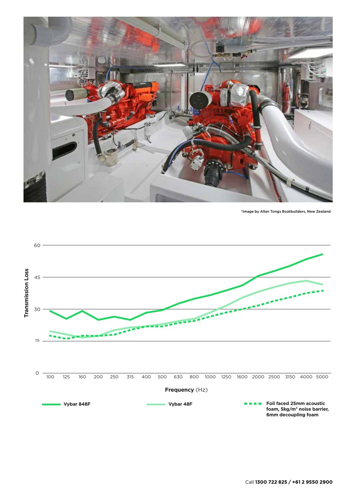

\*Image by Allan Tongs Boatbuilders, New Zealand

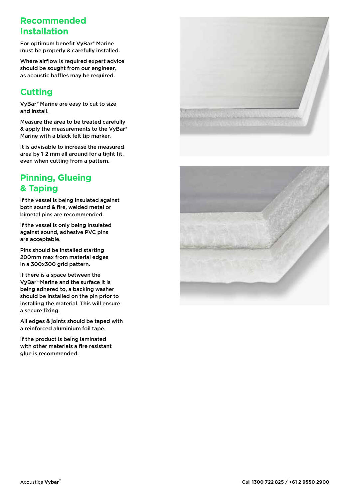## **Recommended Installation**

For optimum benefit VyBar® Marine must be properly & carefully installed.

Where airflow is required expert advice should be sought from our engineer, as acoustic baffles may be required.

## **Cutting**

VyBar® Marine are easy to cut to size and install.

Measure the area to be treated carefully & apply the measurements to the VyBar® Marine with a black felt tip marker.

It is advisable to increase the measured area by 1-2 mm all around for a tight fit, even when cutting from a pattern.

## **Pinning, Glueing & Taping**

If the vessel is being insulated against both sound & fire, welded metal or bimetal pins are recommended.

If the vessel is only being insulated against sound, adhesive PVC pins are acceptable.

Pins should be installed starting 200mm max from material edges in a 300x300 grid pattern.

If there is a space between the VyBar® Marine and the surface it is being adhered to, a backing washer should be installed on the pin prior to installing the material. This will ensure a secure fixing.

All edges & joints should be taped with a reinforced aluminium foil tape.

If the product is being laminated with other materials a fire resistant glue is recommended.